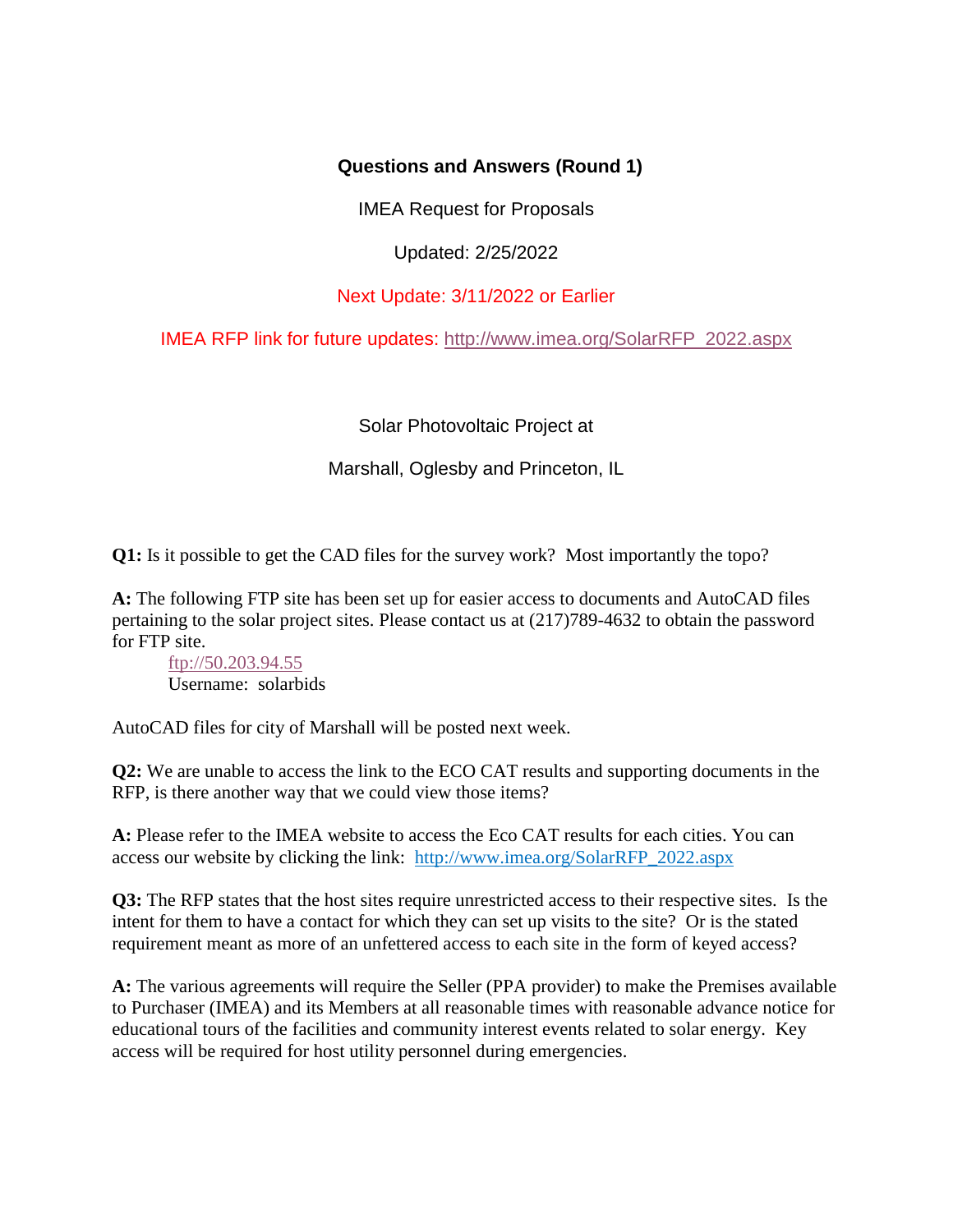## **Questions and Answers (Round 1)**

IMEA Request for Proposals

Updated: 2/25/2022

## Next Update: 3/11/2022 or Earlier

IMEA RFP link for future updates: [http://www.imea.org/SolarRFP\\_2022.aspx](http://www.imea.org/SolarRFP_2022.aspx)

Solar Photovoltaic Project at

Marshall, Oglesby and Princeton, IL

**Q1:** Is it possible to get the CAD files for the survey work? Most importantly the topo?

**A:** The following FTP site has been set up for easier access to documents and AutoCAD files pertaining to the solar project sites. Please contact us at (217)789-4632 to obtain the password for FTP site.

[ftp://50.203.94.55](ftp://50.203.94.55/) Username: solarbids

AutoCAD files for city of Marshall will be posted next week.

**Q2:** We are unable to access the link to the ECO CAT results and supporting documents in the RFP, is there another way that we could view those items?

**A:** Please refer to the IMEA website to access the Eco CAT results for each cities. You can access our website by clicking the link: http://www.imea.org/SolarRFP\_2022.aspx

**Q3:** The RFP states that the host sites require unrestricted access to their respective sites. Is the intent for them to have a contact for which they can set up visits to the site? Or is the stated requirement meant as more of an unfettered access to each site in the form of keyed access?

**A:** The various agreements will require the Seller (PPA provider) to make the Premises available to Purchaser (IMEA) and its Members at all reasonable times with reasonable advance notice for educational tours of the facilities and community interest events related to solar energy. Key access will be required for host utility personnel during emergencies.